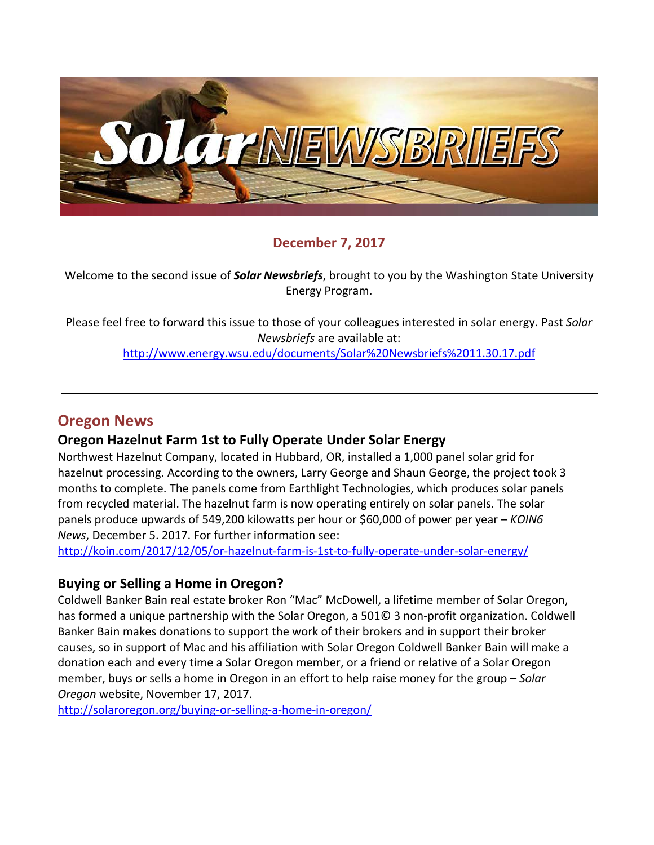

#### **December 7, 2017**

Welcome to the second issue of *Solar Newsbriefs*, brought to you by the Washington State University Energy Program.

Please feel free to forward this issue to those of your colleagues interested in solar energy. Past *Solar Newsbriefs* are available at:

<http://www.energy.wsu.edu/documents/Solar%20Newsbriefs%2011.30.17.pdf>

## **Oregon News**

#### **Oregon Hazelnut Farm 1st to Fully Operate Under Solar Energy**

Northwest Hazelnut Company, located in Hubbard, OR, installed a 1,000 panel solar grid for hazelnut processing. According to the owners, Larry George and Shaun George, the project took 3 months to complete. The panels come from Earthlight Technologies, which produces solar panels from recycled material. The hazelnut farm is now operating entirely on solar panels. The solar panels produce upwards of 549,200 kilowatts per hour or \$60,000 of power per year – *KOIN6 News*, December 5. 2017. For further information see:

<http://koin.com/2017/12/05/or-hazelnut-farm-is-1st-to-fully-operate-under-solar-energy/>

#### **Buying or Selling a Home in Oregon?**

Coldwell Banker Bain real estate broker Ron "Mac" McDowell, a lifetime member of Solar Oregon, has formed a unique partnership with the Solar Oregon, a 501© 3 non-profit organization. Coldwell Banker Bain makes donations to support the work of their brokers and in support their broker causes, so in support of Mac and his affiliation with Solar Oregon Coldwell Banker Bain will make a donation each and every time a Solar Oregon member, or a friend or relative of a Solar Oregon member, buys or sells a home in Oregon in an effort to help raise money for the group – *Solar Oregon* website, November 17, 2017.

<http://solaroregon.org/buying-or-selling-a-home-in-oregon/>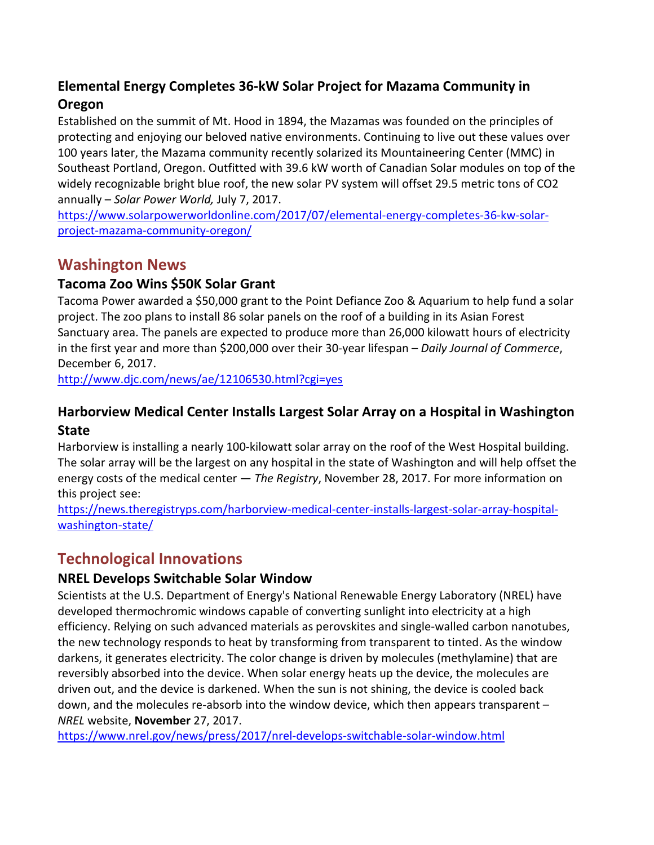# **Elemental Energy Completes 36-kW Solar Project for Mazama Community in Oregon**

Established on the summit of Mt. Hood in 1894, the Mazamas was founded on the principles of protecting and enjoying our beloved native environments. Continuing to live out these values over 100 years later, the Mazama community recently solarized its Mountaineering Center (MMC) in Southeast Portland, Oregon. Outfitted with 39.6 kW worth of Canadian Solar modules on top of the widely recognizable bright blue roof, the new solar PV system will offset 29.5 metric tons of CO2 annually – *Solar Power World,* July 7, 2017.

[https://www.solarpowerworldonline.com/2017/07/elemental-energy-completes-36-kw-solar](https://www.solarpowerworldonline.com/2017/07/elemental-energy-completes-36-kw-solar-project-mazama-community-oregon/)[project-mazama-community-oregon/](https://www.solarpowerworldonline.com/2017/07/elemental-energy-completes-36-kw-solar-project-mazama-community-oregon/)

# **Washington News**

## **Tacoma Zoo Wins \$50K Solar Grant**

Tacoma Power awarded a \$50,000 grant to the Point Defiance Zoo & Aquarium to help fund a solar project. The zoo plans to install 86 solar panels on the roof of a building in its Asian Forest Sanctuary area. The panels are expected to produce more than 26,000 kilowatt hours of electricity in the first year and more than \$200,000 over their 30-year lifespan – *Daily Journal of Commerce*, December 6, 2017.

<http://www.djc.com/news/ae/12106530.html?cgi=yes>

## **Harborview Medical Center Installs Largest Solar Array on a Hospital in Washington State**

Harborview is installing a nearly 100-kilowatt solar array on the roof of the West Hospital building. The solar array will be the largest on any hospital in the state of Washington and will help offset the energy costs of the medical center — *The Registry*, November 28, 2017. For more information on this project see:

[https://news.theregistryps.com/harborview-medical-center-installs-largest-solar-array-hospital](https://news.theregistryps.com/harborview-medical-center-installs-largest-solar-array-hospital-washington-state/)[washington-state/](https://news.theregistryps.com/harborview-medical-center-installs-largest-solar-array-hospital-washington-state/)

# **Technological Innovations**

### **NREL Develops Switchable Solar Window**

Scientists at the U.S. Department of Energy's National Renewable Energy Laboratory (NREL) have developed thermochromic windows capable of converting sunlight into electricity at a high efficiency. Relying on such advanced materials as perovskites and single-walled carbon nanotubes, the new technology responds to heat by transforming from transparent to tinted. As the window darkens, it generates electricity. The color change is driven by molecules (methylamine) that are reversibly absorbed into the device. When solar energy heats up the device, the molecules are driven out, and the device is darkened. When the sun is not shining, the device is cooled back down, and the molecules re-absorb into the window device, which then appears transparent – *NREL* website, **November** 27, 2017.

<https://www.nrel.gov/news/press/2017/nrel-develops-switchable-solar-window.html>